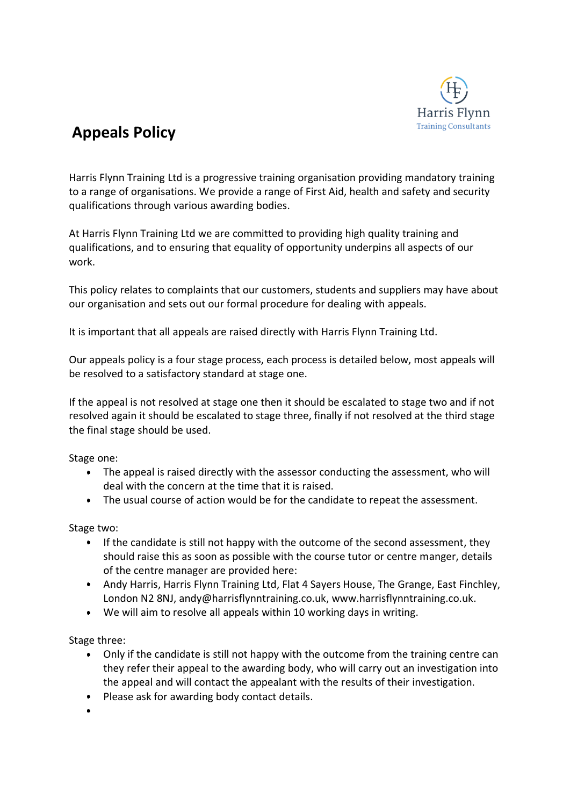

## **Appeals Policy**

Harris Flynn Training Ltd is a progressive training organisation providing mandatory training to a range of organisations. We provide a range of First Aid, health and safety and security qualifications through various awarding bodies.

At Harris Flynn Training Ltd we are committed to providing high quality training and qualifications, and to ensuring that equality of opportunity underpins all aspects of our work.

This policy relates to complaints that our customers, students and suppliers may have about our organisation and sets out our formal procedure for dealing with appeals.

It is important that all appeals are raised directly with Harris Flynn Training Ltd.

Our appeals policy is a four stage process, each process is detailed below, most appeals will be resolved to a satisfactory standard at stage one.

If the appeal is not resolved at stage one then it should be escalated to stage two and if not resolved again it should be escalated to stage three, finally if not resolved at the third stage the final stage should be used.

Stage one:

- The appeal is raised directly with the assessor conducting the assessment, who will deal with the concern at the time that it is raised.
- The usual course of action would be for the candidate to repeat the assessment.

Stage two:

- If the candidate is still not happy with the outcome of the second assessment, they should raise this as soon as possible with the course tutor or centre manger, details of the centre manager are provided here:
- Andy Harris, Harris Flynn Training Ltd, Flat 4 Sayers House, The Grange, East Finchley, London N2 8NJ, andy@harrisflynntraining.co.uk, www.harrisflynntraining.co.uk.
- We will aim to resolve all appeals within 10 working days in writing.

Stage three:

- $\bullet$ Only if the candidate is still not happy with the outcome from the training centre can they refer their appeal to the awarding body, who will carry out an investigation into the appeal and will contact the appealant with the results of their investigation.
- Please ask for awarding body contact details.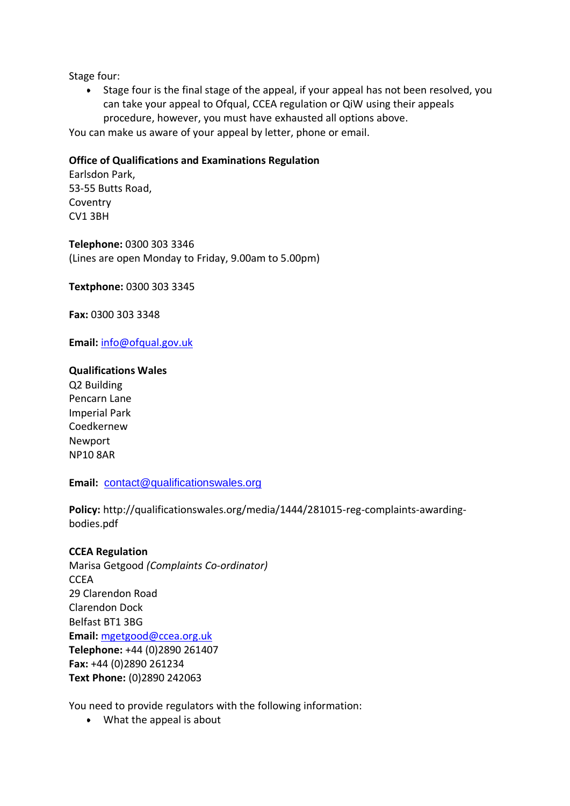Stage four:

Stage four is the final stage of the appeal, if your appeal has not been resolved, you can take your appeal to Ofqual, CCEA regulation or QiW using their appeals procedure, however, you must have exhausted all options above.

You can make us aware of your appeal by letter, phone or email.

## **Office of Qualifications and Examinations Regulation**

Earlsdon Park, 53-55 Butts Road, **Coventry** CV1 3BH

**Telephone:** 0300 303 3346 (Lines are open Monday to Friday, 9.00am to 5.00pm)

**Textphone:** 0300 303 3345

**Fax:** 0300 303 3348

**Email:** [info@ofqual.gov.uk](mailto:info@ofqual.gov.uk)

## **Qualifications Wales**

Q2 Building Pencarn Lane Imperial Park Coedkernew Newport NP10 8AR

**Email:** [contact@qualificationswales.org](mailto:contact@qualificationswales.org)

**Policy:** http://qualificationswales.org/media/1444/281015-reg-complaints-awardingbodies.pdf

## **CCEA Regulation**

Marisa Getgood *(Complaints Co-ordinator)* **CCEA** 29 Clarendon Road Clarendon Dock Belfast BT1 3BG **Email:** [mgetgood@ccea.org.uk](mailto:mgetgood@ccea.org.uk?subject=Complaint%20Notification) **Telephone:** +44 (0)2890 261407 **Fax:** +44 (0)2890 261234 **Text Phone:** (0)2890 242063

You need to provide regulators with the following information:

What the appeal is about